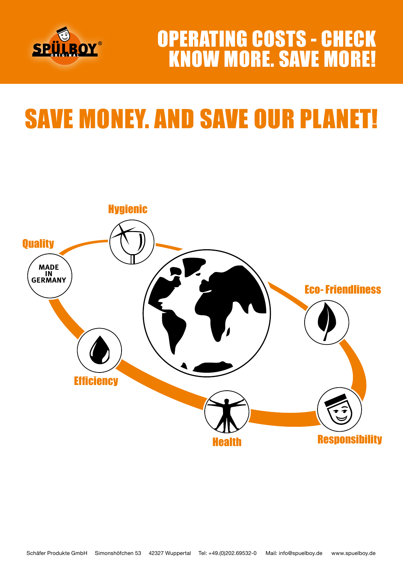

## OPERATING COSTS - CHECK KNOW MORE. SAVE MORE!

# SAVE MONEY. AND SAVE OUR PLANET!

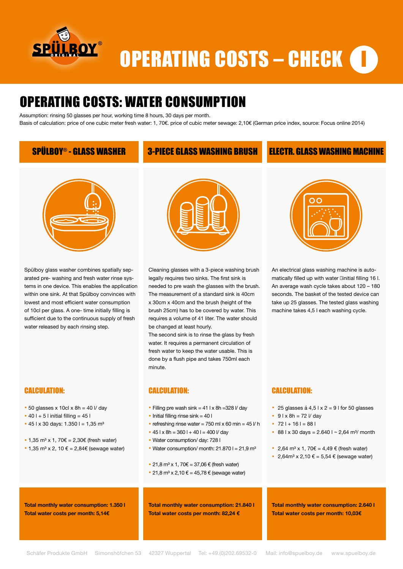

## **OPERATING COSTS – CHECK ID**

## OPERATING COSTS: WATER CONSUMPTION

Assumption: rinsing 50 glasses per hour, working time 8 hours, 30 days per month.

Basis of calculation: price of one cubic meter fresh water: 1, 70€. price of cubic meter sewage: 2,10€ (German price index, source: Focus online 2014)

### SPÜLBOY® - GLASS WASHER 3-PIECE GLASS WASHING BRUSH ELECTR. GLASS WASHING MACHINE



Spülboy glass washer combines spatially separated pre- washing and fresh water rinse systems in one device. This enables the application within one sink. At that Spülboy convinces with lowest and most efficient water consumption of 10cl per glass. A one- time initially filling is sufficient due to the continuous supply of fresh water released by each rinsing step.



- $\cdot$  50 glasses x 10cl x 8h = 40 l/ day
- $\cdot$  40 l + 5 l initial filling = 45 l
- 45 l x 30 days:  $1.350$  l =  $1,35$  m<sup>3</sup>
- 1,35 m<sup>3</sup> x 1, 70 $\varepsilon$  = 2,30 $\varepsilon$  (fresh water)
- 1,35 m<sup>3</sup> x 2, 10  $\epsilon$  = 2,84 $\epsilon$  (sewage water)



Cleaning glasses with a 3-piece washing brush legally requires two sinks. The first sink is needed to pre wash the glasses with the brush. The measurement of a standard sink is 40cm x 30cm x 40cm and the brush (height of the brush 25cm) has to be covered by water. This requires a volume of 41 liter. The water should be changed at least hourly.

The second sink is to rinse the glass by fresh water. It requires a permanent circulation of fresh water to keep the water usable. This is done by a flush pipe and takes 750ml each minute.

### CALCULATION:

- Filling pre wash sink  $= 41$  l x 8h = 328 l/ day
- $\bullet$  Initial filling rinse sink = 40 l
- refreshing rinse water = 750 ml  $\times$  60 min = 45  $V$  h
- $\cdot$  45 l x 8h = 360 l + 40 l = 400 l/ day
- Water consumption/ day: 728 l
- Water consumption/ month:  $21.8701 = 21.9$  m<sup>3</sup>
- 21,8 m<sup>3</sup> x 1, 70€ = 37,06 € (fresh water)
- 21,8 m<sup>3</sup> x 2,10 € = 45,78 € (sewage water)

**Total monthly water consumption: 21.840 l Total water costs per month: 82,24 €**



An electrical glass washing machine is automatically filled up with water **Dinitial filling 16 l.** An average wash cycle takes about 120 – 180 seconds. The basket of the tested device can take up 25 glasses. The tested glass washing machine takes 4,5 l each washing cycle.

### CALCULATION:

- 25 glasses á 4,5 l  $\times$  2 = 9 l for 50 glasses
- $91 \times 8h = 72$  I/ day
- $721 + 161 = 881$
- 88 l x 30 days =  $2.6401 2.64$  m<sup>3</sup>/ month
- 2,64 m<sup>3</sup> x 1, 70 $\varepsilon$  = 4,49  $\varepsilon$  (fresh water)
- 2,64m<sup>3</sup> x 2,10  $\varepsilon$  = 5,54  $\varepsilon$  (sewage water)

**Total monthly water consumption: 1.350 l Total water costs per month: 5,14€**

**Total monthly water consumption: 2.640 l Total water costs per month: 10,03€**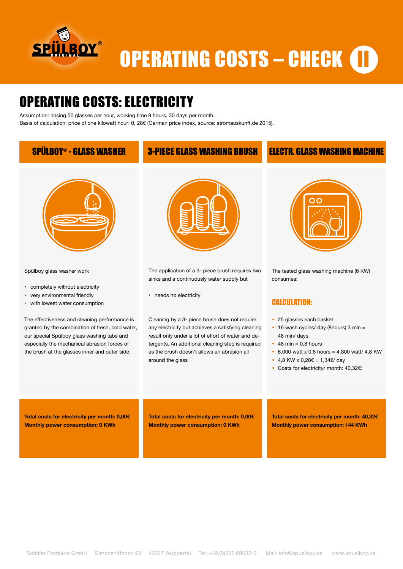

# OPERATING COSTS – CHECK (II

## OPERATING COSTS: ELECTRICITY

Assumption: rinsing 50 glasses per hour, working time 8 hours, 30 days per month. Basis of calculation: price of one kilowatt hour: 0, 28€ (German price index, source: stromauskunft.de 2015).

### SPÜLBOY® - GLASS WASHER 3-PIECE GLASS WASHING BRUSH ELECTR. GLASS WASHING MACHINE



Spülboy glass washer work

- completely without electricity
- very environmental friendly
- with lowest water consumption

The effectiveness and cleaning performance is granted by the combination of fresh, cold water, our special Spülboy glass washing tabs and especially the mechanical abrasion forces of the brush at the glasses inner and outer side.



The application of a 3- piece brush requires two sinks and a continuously water supply but

• needs no electricity

Cleaning by a 3- piece brush does not require any electricity but achieves a satisfying cleaning result only under a lot of effort of water and detergents. An additional cleaning step is required as the brush doesn't allows an abrasion all around the glass



The tested glass washing machine (6 KW) consumes:

### CALCULATION:

- 25 glasses each basket
- 16 wash cycles/ day (8hours) 3 min = 48 min/ days
- $\cdot$  48 min = 0.8 hours
- $\cdot$  6.000 watt x 0.8 hours = 4.800 watt/ 4.8 KW
- 4.8 KW x 0.28€ = 1.34€/ day
- Costs for electricity/ month: 40,32€:

**Total costs for electricity per month: 0,00€ Monthly power consumption: 0 KWh**

**Total costs for electricity per month: 0,00€ Monthly power consumption: 0 KWh**

**Total costs for electricity per month: 40,32€ Monthly power consumption: 144 KWh**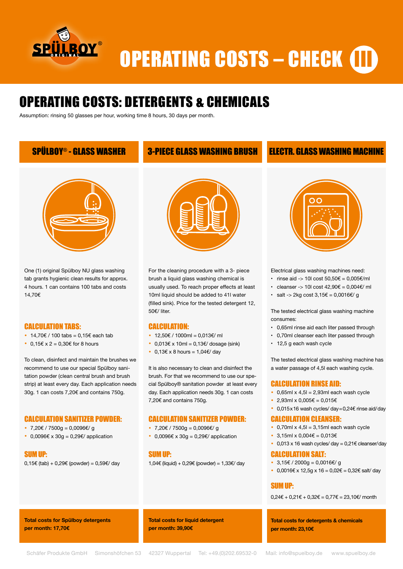

# **OPERATING COSTS - CHECK III**

## OPERATING COSTS: DETERGENTS & CHEMICALS

Assumption: rinsing 50 glasses per hour, working time 8 hours, 30 days per month.

### SPÜLBOY® - GLASS WASHER 3-PIECE GLASS WASHING BRUSH ELECTR. GLASS WASHING MACHINE



One (1) original Spülboy NU glass washing tab grants hygienic clean results for approx. 4 hours. 1 can contains 100 tabs and costs 14,70€

#### CALCULATION TABS:

- 14,70€ / 100 tabs =  $0.15€$  each tab
- $\cdot$  0,15€ x 2 = 0,30€ for 8 hours

To clean, disinfect and maintain the brushes we recommend to use our special Spülboy sanitation powder (clean central brush and brush strip) at least every day. Each application needs 30g. 1 can costs 7,20€ and contains 750g.

### CALCULATION SANITIZER POWDER:

- 7,20€ / 7500g = 0,0096€/ g
- 0,0096€ x 30g = 0,29€/ application



 $0.15€$  (tab) + 0.29€ (powder) = 0.59€/ day



For the cleaning procedure with a 3- piece brush a liquid glass washing chemical is usually used. To reach proper effects at least 10ml liquid should be added to 41l water (filled sink). Price for the tested detergent 12, 50€/ liter.

#### CALCULATION:

- 12,50€ / 1000ml = 0,013€/ ml
- $\cdot$  0,013€ x 10ml = 0,13€/ dosage (sink)
- 0,13€ x 8 hours =  $1,04 \notin \text{day}$

It is also necessary to clean and disinfect the brush. For that we recommend to use our special Spülboy® sanitation powder at least every day. Each application needs 30g. 1 can costs 7,20€ and contains 750g.

#### CALCULATION SANITIZER POWDER:

- 7,20€ / 7500g = 0,0096€/ g
- 0,0096 $\varepsilon$  x 30g = 0,29 $\varepsilon$ / application

#### SUM UP:

1,04€ (liquid) + 0,29€ (powder) = 1,33€/ day



Electrical glass washing machines need:

- rinse aid -> 10 cost  $50.50 \in 0.005 \in \text{/ml}$
- cleanser -> 10l cost  $42.90€ = 0.004€/ml$
- salt -> 2kg cost  $3,15€ = 0,0016€/ g$

The tested electrical glass washing machine consumes:

- 0,65ml rinse aid each liter passed through
- 0,70ml cleanser each liter passed through
- 12,5 g each wash cycle

The tested electrical glass washing machine has a water passage of 4,5l each washing cycle.

#### CALCULATION RINSE AID:

- $\cdot$  0,65ml x 4,5l = 2,93ml each wash cycle
- 2,93ml x 0,005€ = 0,015€
- 0,015x16 wash cycles/ day=0,24€ rinse aid/day

#### CALCULATION CLEANSER:

- $\cdot$  0.70ml x 4.5l = 3.15ml each wash cycle
- 3.15ml x 0.004€ = 0.013€
- 0,013 x 16 wash cycles/ day =  $0,21 \in$  cleanser/day

#### CALCULATION SALT:

- $3,15€$  / 2000q = 0,0016€/ q
- 0,0016€ x 12,5q x 16 = 0,02€ = 0,32€ salt/ day

#### SUM UP:

 $0,24€ + 0,21€ + 0,32€ = 0,77€ = 23,10€/$  month

**Total costs for Spülboy detergents per month: 17,70€**

**Total costs for liquid detergent per month: 39,90€**

**Total costs for detergents & chemicals per month: 23,10€**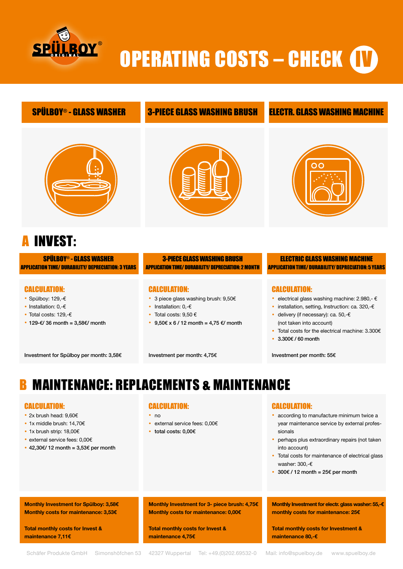

# OPERATING COSTS – CHECK **(I**)

### SPÜLBOY® - GLASS WASHER 3-PIECE GLASS WASHING BRUSH ELECTR. GLASS WASHING MACHINE



## **INVEST:**

SPÜLBOY® - GLASS WASHER APPLICATION TIME/ DURABILITY/ DEPRECIATION: 3 YEARS

#### CALCULATION:

- Spülboy: 129,-€
- Installation: 0,-€
- Total costs: 129,-€
- 129-€/36 month =  $3.58$ €/ month

Investment for Spülboy per month: 3,58€



#### 3-PIECE GLASS WASHING BRUSH APPLICATION TIME/ DURABILITY/ DEPRECIATION: 2 MONTH

#### CALCULATION:

- 3 piece glass washing brush: 9,50€
- Installation: 0,-€
- Total costs:  $9,50 \in$
- 9.50€ x 6 / 12 month = 4.75 €/ month

#### ELECTRIC GLASS WASHING MACHINE APPLICATIONTIME/DURABILITY/DEPRECIATION:5YEARS

### CALCULATION:

- electrical glass washing machine: 2.980,- €
- installation, setting, Instruction: ca. 320,-€
- delivery (if necessary): ca. 50,-€ (not taken into account)
- Total costs for the electrical machine: 3.300€
- 3.300€ / 60 month

Investment per month: 55€

## **MAINTENANCE: REPLACEMENTS & MAINTENANCE**

#### CALCULATION:

- 2x brush head: 9,60€
- 1x middle brush: 14,70€
- 1x brush strip: 18,00€
- external service fees: 0,00€
- 42,30€/ 12 month =  $3,53€$  per month

**Monthly Investment for Spülboy: 3,58€ Monthly costs for maintenance: 3,53€**

**Total monthly costs for Invest &** 

**maintenance 7,11€**

#### CALCULATION:

- no
- external service fees: 0,00€
- total costs: 0,00€

#### CALCULATION:

- according to manufacture minimum twice a year maintenance service by external professionals
- perhaps plus extraordinary repairs (not taken into account)
- Total costs for maintenance of electrical glass washer: 300,-€
- 300€ / 12 month =  $25€$  per month

**Monthly Investment for electr. glass washer: 55,-€ monthly costs for maintenance: 25€**

**Total monthly costs for Investment & maintenance 80,-€**

**Total monthly costs for Invest &** 

**maintenance 4,75€**

**Monthly Investment for 3- piece brush: 4,75€ Monthly costs for maintenance: 0,00€**

Investment per month: 4,75€